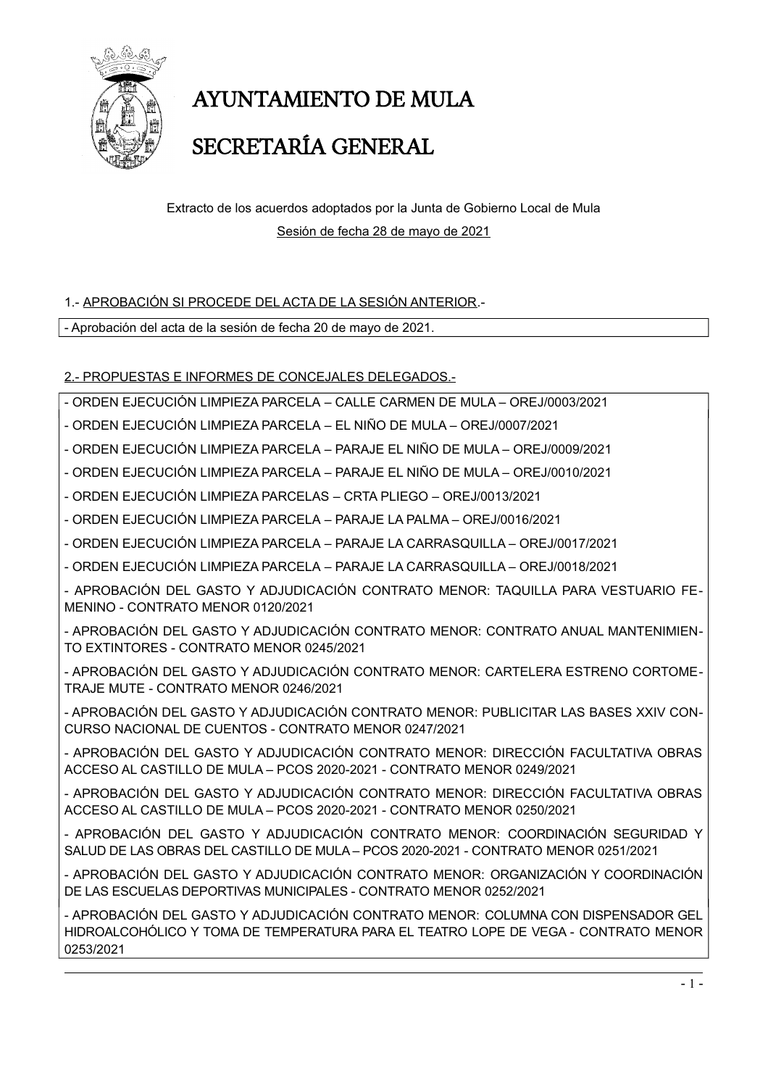

# **AYUNTAMIENTO DE MULA**

## SECRETARÍA GENERAL

Extracto de los acuerdos adoptados por la Junta de Gobierno Local de Mula Sesión de fecha 28 de mayo de 2021

#### 1.- APROBACIÓN SI PROCEDE DEL ACTA DE LA SESIÓN ANTERIOR.-

- Aprobación del acta de la sesión de fecha 20 de mayo de 2021.

#### 2.- PROPUESTAS E INFORMES DE CONCEJALES DELEGADOS.-

- ORDEN EJECUCIÓN LIMPIEZA PARCELA - CALLE CARMEN DE MULA - OREJ/0003/2021

- ORDEN EJECUCIÓN LIMPIEZA PARCELA EL NIÑO DE MULA OREJ/0007/2021
- ORDEN EJECUCIÓN LIMPIEZA PARCELA PARAJE EL NIÑO DE MULA OREJ/0009/2021
- ORDEN EJECUCIÓN LIMPIEZA PARCELA PARAJE EL NIÑO DE MULA OREJ/0010/2021
- ORDEN EJECUCIÓN LIMPIEZA PARCELAS CRTA PLIEGO OREJ/0013/2021
- ORDEN EJECUCIÓN LIMPIEZA PARCELA PARAJE LA PALMA OREJ/0016/2021
- ORDEN EJECUCIÓN LIMPIEZA PARCELA PARAJE LA CARRASQUILLA OREJ/0017/2021
- ORDEN EJECUCIÓN LIMPIEZA PARCELA PARAJE LA CARRASQUILLA OREJ/0018/2021
- APROBACIÓN DEL GASTO Y ADJUDICACIÓN CONTRATO MENOR: TAQUILLA PARA VESTUARIO FE-MENINO - CONTRATO MENOR 0120/2021

- APROBACIÓN DEL GASTO Y ADJUDICACIÓN CONTRATO MENOR: CONTRATO ANUAL MANTENIMIEN-TO EXTINTORES - CONTRATO MENOR 0245/2021

- APROBACIÓN DEL GASTO Y ADJUDICACIÓN CONTRATO MENOR: CARTELERA ESTRENO CORTOME-TRAJE MUTE - CONTRATO MENOR 0246/2021

- APROBACIÓN DEL GASTO Y ADJUDICACIÓN CONTRATO MENOR: PUBLICITAR LAS BASES XXIV CON-CURSO NACIONAL DE CUENTOS - CONTRATO MENOR 0247/2021

- APROBACIÓN DEL GASTO Y ADJUDICACIÓN CONTRATO MENOR: DIRECCIÓN FACULTATIVA OBRAS ACCESO AL CASTILLO DE MULA - PCOS 2020-2021 - CONTRATO MENOR 0249/2021

- APROBACIÓN DEL GASTO Y ADJUDICACIÓN CONTRATO MENOR: DIRECCIÓN FACULTATIVA OBRAS ACCESO AL CASTILLO DE MULA - PCOS 2020-2021 - CONTRATO MENOR 0250/2021

- APROBACIÓN DEL GASTO Y ADJUDICACIÓN CONTRATO MENOR: COORDINACIÓN SEGURIDAD Y SALUD DE LAS OBRAS DEL CASTILLO DE MULA - PCOS 2020-2021 - CONTRATO MENOR 0251/2021

- APROBACIÓN DEL GASTO Y ADJUDICACIÓN CONTRATO MENOR: ORGANIZACIÓN Y COORDINACIÓN DE LAS ESCUELAS DEPORTIVAS MUNICIPALES - CONTRATO MENOR 0252/2021

- APROBACIÓN DEL GASTO Y ADJUDICACIÓN CONTRATO MENOR: COLUMNA CON DISPENSADOR GEL HIDROALCOHÓLICO Y TOMA DE TEMPERATURA PARA EL TEATRO LOPE DE VEGA - CONTRATO MENOR 0253/2021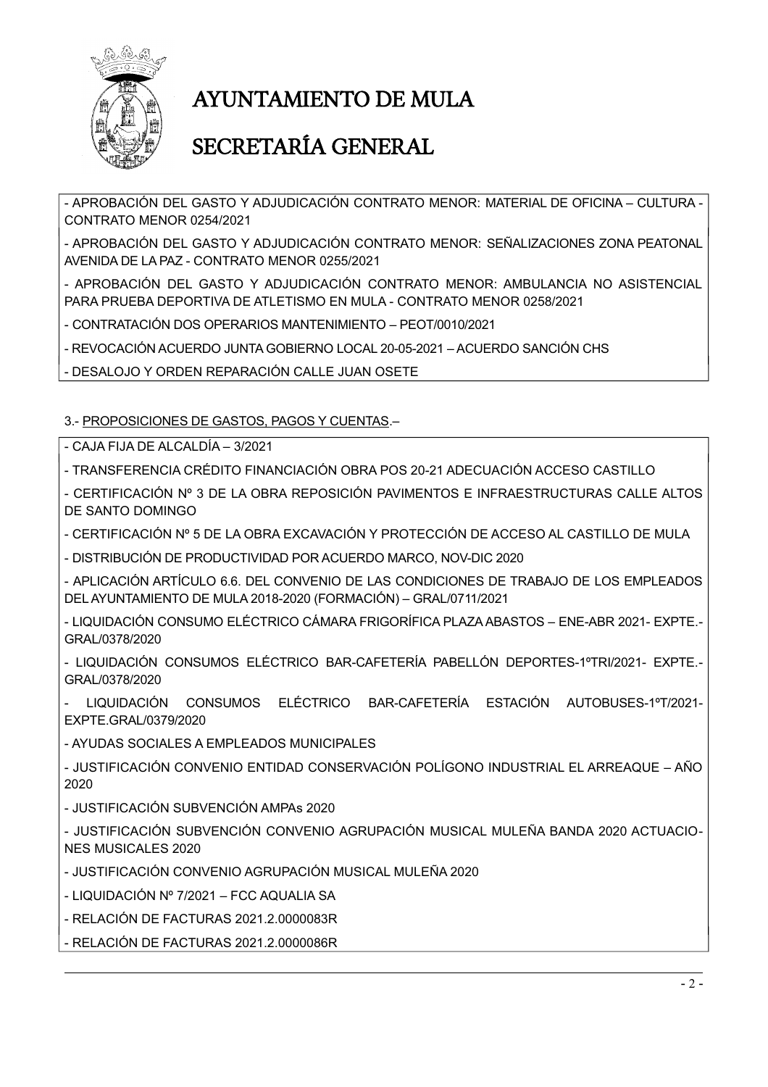

# **AYUNTAMIENTO DE MULA**

## SECRETARÍA GENERAL

- APROBACIÓN DEL GASTO Y ADJUDICACIÓN CONTRATO MENOR: MATERIAL DE OFICINA – CULTURA -CONTRATO MENOR 0254/2021

- APROBACIÓN DEL GASTO Y ADJUDICACIÓN CONTRATO MENOR: SEÑALIZACIONES ZONA PEATONAL AVENIDA DE LA PAZ - CONTRATO MENOR 0255/2021

- APROBACIÓN DEL GASTO Y ADJUDICACIÓN CONTRATO MENOR: AMBULANCIA NO ASISTENCIAL PARA PRUEBA DEPORTIVA DE ATLETISMO EN MULA - CONTRATO MENOR 0258/2021

- CONTRATACIÓN DOS OPERARIOS MANTENIMIENTO - PEOT/0010/2021

- REVOCACIÓN ACUERDO JUNTA GOBIERNO LOCAL 20-05-2021 - ACUERDO SANCIÓN CHS

- DESALOJO Y ORDEN REPARACIÓN CALLE JUAN OSETE

3.- PROPOSICIONES DE GASTOS, PAGOS Y CUENTAS.-

- CAJA FIJA DE ALCALDÍA - 3/2021

- TRANSFERENCIA CRÉDITO FINANCIACIÓN OBRA POS 20-21 ADECUACIÓN ACCESO CASTILLO

- CERTIFICACIÓN Nº 3 DE LA OBRA REPOSICIÓN PAVIMENTOS E INFRAESTRUCTURAS CALLE ALTOS DE SANTO DOMINGO

- CERTIFICACIÓN Nº 5 DE LA OBRA EXCAVACIÓN Y PROTECCIÓN DE ACCESO AL CASTILLO DE MULA

- DISTRIBUCIÓN DE PRODUCTIVIDAD POR ACUERDO MARCO, NOV-DIC 2020

- APLICACIÓN ARTÍCULO 6.6. DEL CONVENIO DE LAS CONDICIONES DE TRABAJO DE LOS EMPLEADOS DEL AYUNTAMIENTO DE MULA 2018-2020 (FORMACIÓN) - GRAL/0711/2021

- LIQUIDACIÓN CONSUMO ELÉCTRICO CÁMARA FRIGORÍFICA PLAZA ABASTOS - ENE-ABR 2021- EXPTE.-GRAL/0378/2020

- LIQUIDACIÓN CONSUMOS ELÉCTRICO BAR-CAFETERÍA PABELLÓN DEPORTES-1ºTRI/2021- EXPTE.-GRAL/0378/2020

LIQUIDACIÓN CONSUMOS ELÉCTRICO BAR-CAFETERÍA ESTACIÓN AUTOBUSES-1ºT/2021-EXPTE.GRAL/0379/2020

- AYUDAS SOCIALES A EMPLEADOS MUNICIPALES

- JUSTIFICACIÓN CONVENIO ENTIDAD CONSERVACIÓN POLÍGONO INDUSTRIAL EL ARREAQUE – AÑO 2020

- JUSTIFICACIÓN SUBVENCIÓN AMPAS 2020

- JUSTIFICACIÓN SUBVENCIÓN CONVENIO AGRUPACIÓN MUSICAL MULEÑA BANDA 2020 ACTUACIO-**NES MUSICALES 2020** 

- JUSTIFICACIÓN CONVENIO AGRUPACIÓN MUSICAL MULEÑA 2020

- LIQUIDACIÓN Nº 7/2021 - FCC AQUALIA SA

- RELACIÓN DE FACTURAS 2021.2.0000083R

- RELACIÓN DE FACTURAS 2021.2.0000086R